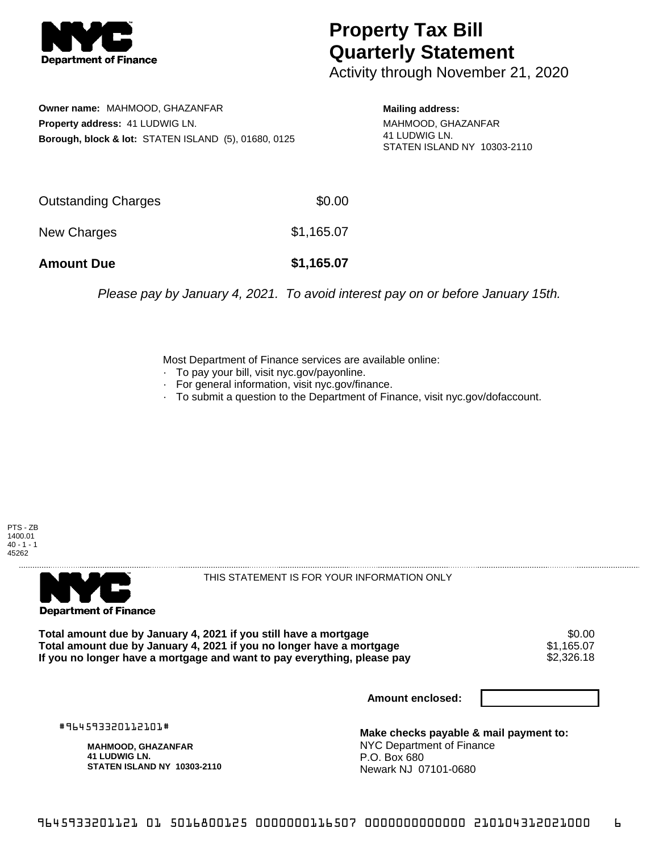

## **Property Tax Bill Quarterly Statement**

Activity through November 21, 2020

**Owner name:** MAHMOOD, GHAZANFAR **Property address:** 41 LUDWIG LN. **Borough, block & lot:** STATEN ISLAND (5), 01680, 0125

**Mailing address:** MAHMOOD, GHAZANFAR 41 LUDWIG LN. STATEN ISLAND NY 10303-2110

| <b>Amount Due</b>   | \$1,165.07 |
|---------------------|------------|
| New Charges         | \$1,165.07 |
| Outstanding Charges | \$0.00     |

Please pay by January 4, 2021. To avoid interest pay on or before January 15th.

Most Department of Finance services are available online:

- · To pay your bill, visit nyc.gov/payonline.
- For general information, visit nyc.gov/finance.
- · To submit a question to the Department of Finance, visit nyc.gov/dofaccount.





THIS STATEMENT IS FOR YOUR INFORMATION ONLY

Total amount due by January 4, 2021 if you still have a mortgage \$0.00<br>Total amount due by January 4, 2021 if you no longer have a mortgage \$1.165.07 **Total amount due by January 4, 2021 if you no longer have a mortgage**  $$1,165.07$ **<br>If you no longer have a mortgage and want to pay everything, please pay**  $$2,326.18$ If you no longer have a mortgage and want to pay everything, please pay

**Amount enclosed:**

#964593320112101#

**MAHMOOD, GHAZANFAR 41 LUDWIG LN. STATEN ISLAND NY 10303-2110**

**Make checks payable & mail payment to:** NYC Department of Finance P.O. Box 680 Newark NJ 07101-0680